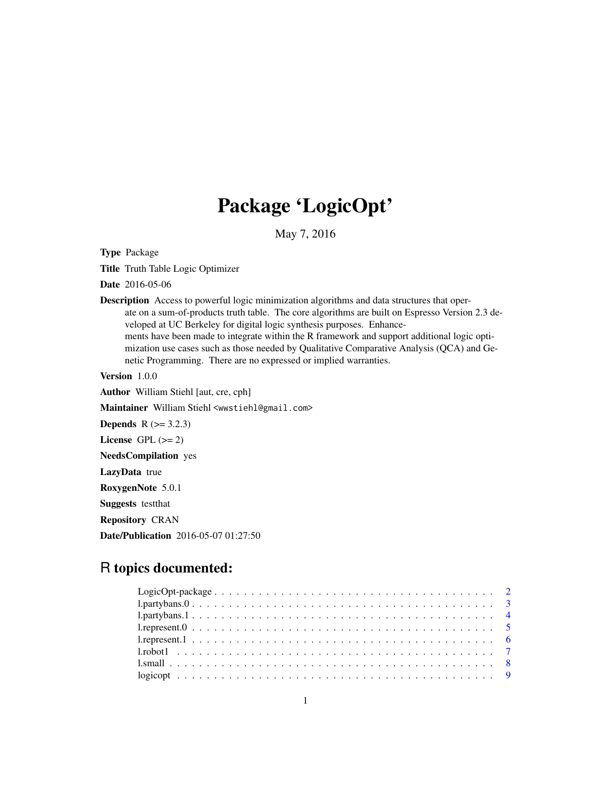# Package 'LogicOpt'

May 7, 2016

Type Package

Title Truth Table Logic Optimizer

Date 2016-05-06

Description Access to powerful logic minimization algorithms and data structures that operate on a sum-of-products truth table. The core algorithms are built on Espresso Version 2.3 developed at UC Berkeley for digital logic synthesis purposes. Enhancements have been made to integrate within the R framework and support additional logic optimization use cases such as those needed by Qualitative Comparative Analysis (QCA) and Genetic Programming. There are no expressed or implied warranties.

Version 1.0.0

Author William Stiehl [aut, cre, cph]

Maintainer William Stiehl <wwstiehl@gmail.com>

**Depends**  $R$  ( $> = 3.2.3$ )

License GPL  $(>= 2)$ 

NeedsCompilation yes

LazyData true

RoxygenNote 5.0.1

Suggests testthat

Repository CRAN

Date/Publication 2016-05-07 01:27:50

# R topics documented: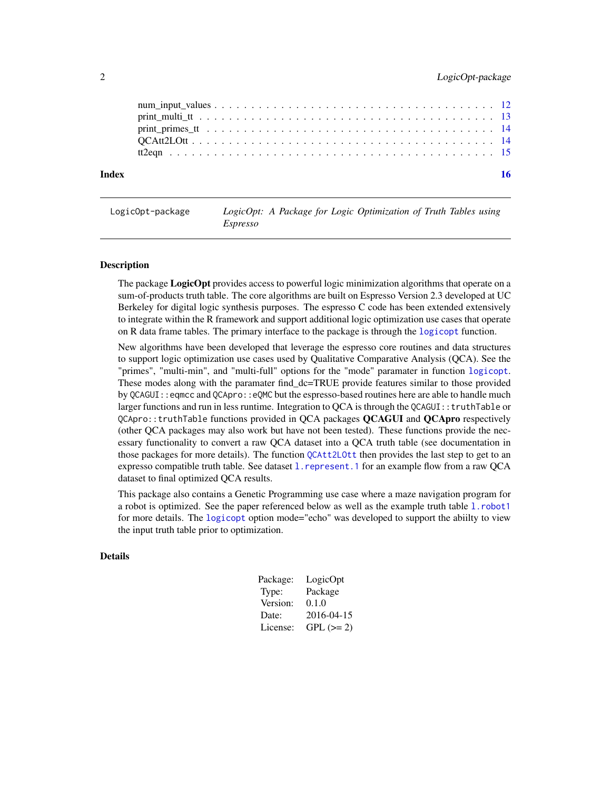<span id="page-1-0"></span>

| Index |  |
|-------|--|
|       |  |
|       |  |
|       |  |
|       |  |
|       |  |

| LogicOpt-package |                 |  |  | LogicOpt: A Package for Logic Optimization of Truth Tables using |  |  |
|------------------|-----------------|--|--|------------------------------------------------------------------|--|--|
|                  | <i>Espresso</i> |  |  |                                                                  |  |  |

# **Description**

The package **LogicOpt** provides access to powerful logic minimization algorithms that operate on a sum-of-products truth table. The core algorithms are built on Espresso Version 2.3 developed at UC Berkeley for digital logic synthesis purposes. The espresso C code has been extended extensively to integrate within the R framework and support additional logic optimization use cases that operate on R data frame tables. The primary interface to the package is through the [logicopt](#page-8-1) function.

New algorithms have been developed that leverage the espresso core routines and data structures to support logic optimization use cases used by Qualitative Comparative Analysis (QCA). See the "primes", "multi-min", and "multi-full" options for the "mode" paramater in function [logicopt](#page-8-1). These modes along with the paramater find\_dc=TRUE provide features similar to those provided by QCAGUI::eqmcc and QCApro::eQMC but the espresso-based routines here are able to handle much larger functions and run in less runtime. Integration to QCA is through the QCAGUI:: truthTable or QCApro::truthTable functions provided in QCA packages **QCAGUI** and **QCApro** respectively (other QCA packages may also work but have not been tested). These functions provide the necessary functionality to convert a raw QCA dataset into a QCA truth table (see documentation in those packages for more details). The function [QCAtt2LOtt](#page-13-1) then provides the last step to get to an expresso compatible truth table. See dataset 1. represent. 1 for an example flow from a raw QCA dataset to final optimized QCA results.

This package also contains a Genetic Programming use case where a maze navigation program for a robot is optimized. See the paper referenced below as well as the example truth table [l.robot1](#page-6-1) for more details. The [logicopt](#page-8-1) option mode="echo" was developed to support the abiilty to view the input truth table prior to optimization.

# Details

| Package: | LogicOpt   |
|----------|------------|
| Type:    | Package    |
| Version: | 0.1.0      |
| Date:    | 2016-04-15 |
| License: | $GPL (=2)$ |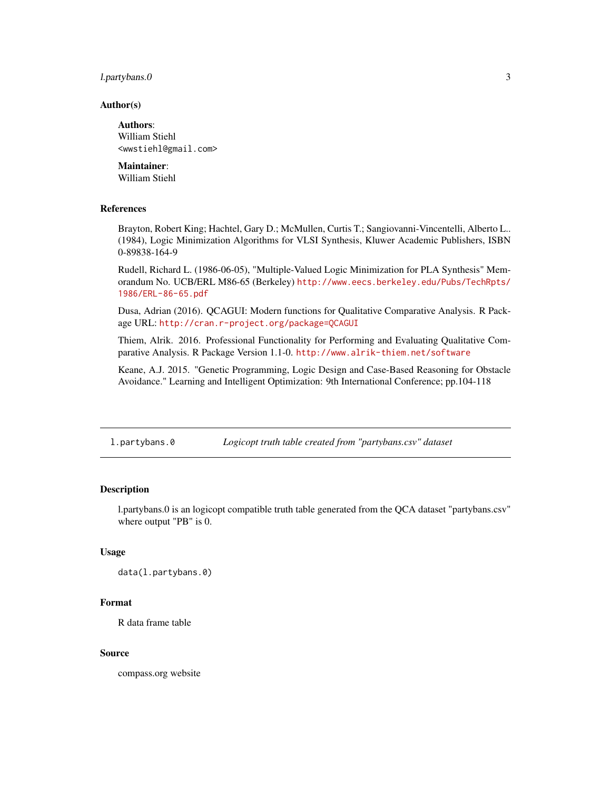# <span id="page-2-0"></span>l.partybans.0 3

#### Author(s)

Authors: William Stiehl <wwstiehl@gmail.com>

# Maintainer:

William Stiehl

# References

Brayton, Robert King; Hachtel, Gary D.; McMullen, Curtis T.; Sangiovanni-Vincentelli, Alberto L.. (1984), Logic Minimization Algorithms for VLSI Synthesis, Kluwer Academic Publishers, ISBN 0-89838-164-9

Rudell, Richard L. (1986-06-05), "Multiple-Valued Logic Minimization for PLA Synthesis" Memorandum No. UCB/ERL M86-65 (Berkeley) [http://www.eecs.berkeley.edu/Pubs/TechRpts/](http://www.eecs.berkeley.edu/Pubs/TechRpts/1986/ERL-86-65.pdf) [1986/ERL-86-65.pdf](http://www.eecs.berkeley.edu/Pubs/TechRpts/1986/ERL-86-65.pdf)

Dusa, Adrian (2016). QCAGUI: Modern functions for Qualitative Comparative Analysis. R Package URL: <http://cran.r-project.org/package=QCAGUI>

Thiem, Alrik. 2016. Professional Functionality for Performing and Evaluating Qualitative Comparative Analysis. R Package Version 1.1-0. <http://www.alrik-thiem.net/software>

Keane, A.J. 2015. "Genetic Programming, Logic Design and Case-Based Reasoning for Obstacle Avoidance." Learning and Intelligent Optimization: 9th International Conference; pp.104-118

l.partybans.0 *Logicopt truth table created from "partybans.csv" dataset*

# Description

l.partybans.0 is an logicopt compatible truth table generated from the QCA dataset "partybans.csv" where output "PB" is 0.

#### Usage

data(l.partybans.0)

#### Format

R data frame table

#### Source

compass.org website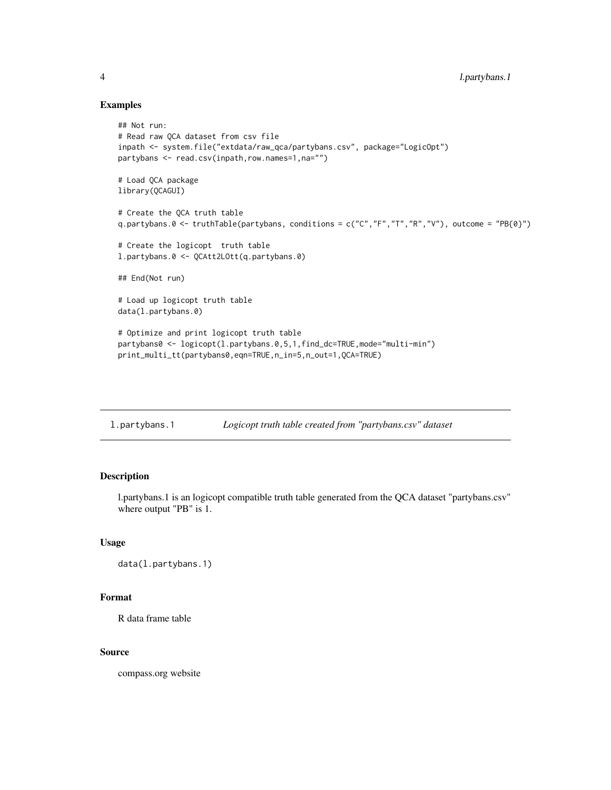#### Examples

```
## Not run:
# Read raw QCA dataset from csv file
inpath <- system.file("extdata/raw_qca/partybans.csv", package="LogicOpt")
partybans <- read.csv(inpath,row.names=1,na="")
# Load QCA package
library(QCAGUI)
# Create the QCA truth table
q.partybans.0 <- truthTable(partybans, conditions = c("C","F","T","R","V"), outcome = "PB{0}")
# Create the logicopt truth table
l.partybans.0 <- QCAtt2LOtt(q.partybans.0)
## End(Not run)
# Load up logicopt truth table
data(l.partybans.0)
# Optimize and print logicopt truth table
partybans0 <- logicopt(l.partybans.0,5,1,find_dc=TRUE,mode="multi-min")
print_multi_tt(partybans0,eqn=TRUE,n_in=5,n_out=1,QCA=TRUE)
```

| l.partybans.1 | Logicopt truth table created from "partybans.csv" dataset |  |
|---------------|-----------------------------------------------------------|--|
|               |                                                           |  |

# Description

l.partybans.1 is an logicopt compatible truth table generated from the QCA dataset "partybans.csv" where output "PB" is 1.

# Usage

```
data(l.partybans.1)
```
#### Format

R data frame table

#### Source

compass.org website

<span id="page-3-0"></span>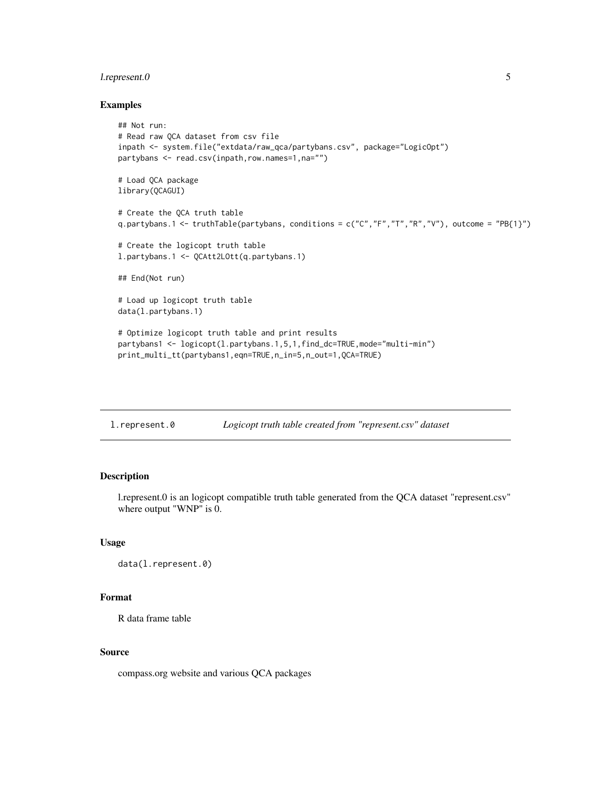# <span id="page-4-0"></span>l.represent.0 5

# Examples

```
## Not run:
# Read raw QCA dataset from csv file
inpath <- system.file("extdata/raw_qca/partybans.csv", package="LogicOpt")
partybans <- read.csv(inpath,row.names=1,na="")
# Load QCA package
library(QCAGUI)
# Create the QCA truth table
q.partybans.1 <- truthTable(partybans, conditions = c("C","F","T","R","V"), outcome = "PB{1}")
# Create the logicopt truth table
l.partybans.1 <- QCAtt2LOtt(q.partybans.1)
## End(Not run)
# Load up logicopt truth table
data(l.partybans.1)
# Optimize logicopt truth table and print results
partybans1 <- logicopt(l.partybans.1,5,1,find_dc=TRUE,mode="multi-min")
print_multi_tt(partybans1,eqn=TRUE,n_in=5,n_out=1,QCA=TRUE)
```
l.represent.0 *Logicopt truth table created from "represent.csv" dataset*

# Description

l.represent.0 is an logicopt compatible truth table generated from the QCA dataset "represent.csv" where output "WNP" is 0.

# Usage

```
data(l.represent.0)
```
# Format

R data frame table

#### Source

compass.org website and various QCA packages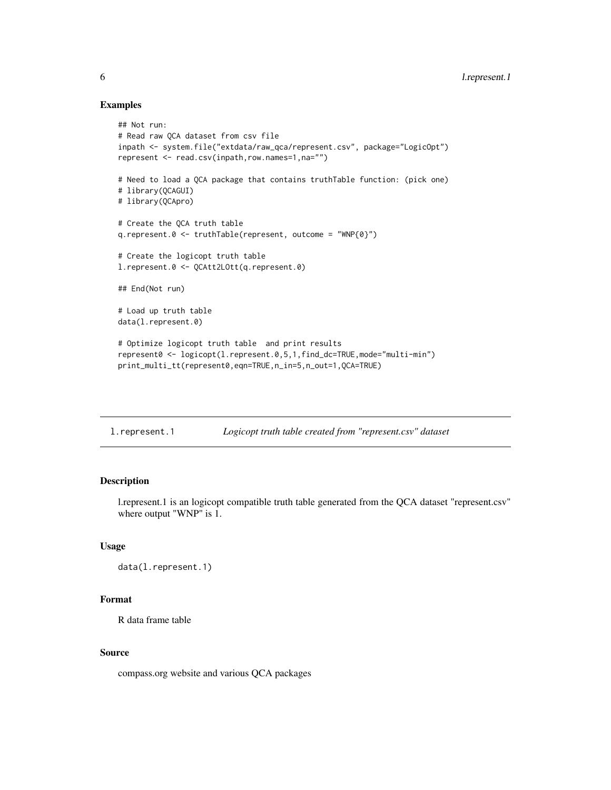#### Examples

```
## Not run:
# Read raw QCA dataset from csv file
inpath <- system.file("extdata/raw_qca/represent.csv", package="LogicOpt")
represent <- read.csv(inpath,row.names=1,na="")
# Need to load a QCA package that contains truthTable function: (pick one)
# library(QCAGUI)
# library(QCApro)
# Create the QCA truth table
q.represent.0 <- truthTable(represent, outcome = "WNP{0}")
# Create the logicopt truth table
l.represent.0 <- QCAtt2LOtt(q.represent.0)
## End(Not run)
# Load up truth table
data(l.represent.0)
# Optimize logicopt truth table and print results
represent0 <- logicopt(l.represent.0,5,1,find_dc=TRUE,mode="multi-min")
print_multi_tt(represent0,eqn=TRUE,n_in=5,n_out=1,QCA=TRUE)
```
<span id="page-5-1"></span>

| l.represent.1 | Logicopt truth table created from "represent.csv" dataset |  |
|---------------|-----------------------------------------------------------|--|
|               |                                                           |  |

### Description

l.represent.1 is an logicopt compatible truth table generated from the QCA dataset "represent.csv" where output "WNP" is 1.

#### Usage

```
data(l.represent.1)
```
# Format

R data frame table

#### Source

compass.org website and various QCA packages

<span id="page-5-0"></span>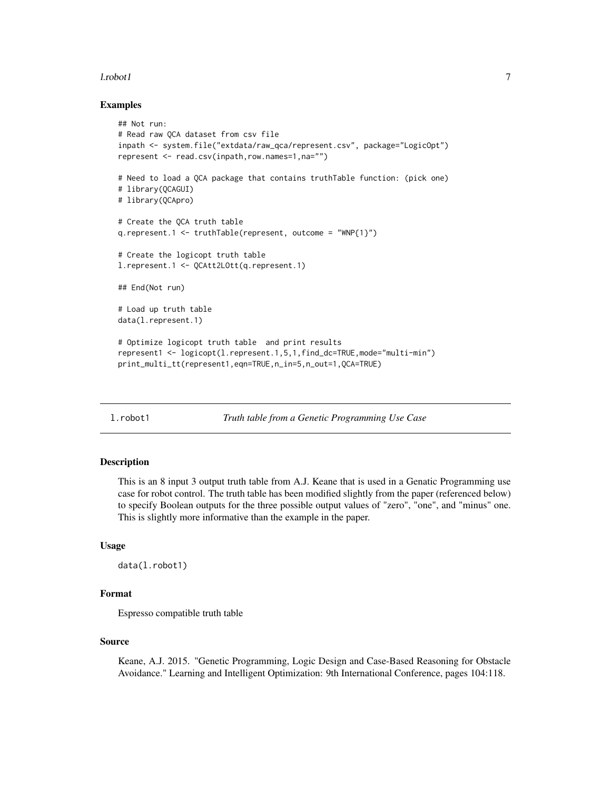#### <span id="page-6-0"></span>l.robot1 7

#### Examples

```
## Not run:
# Read raw QCA dataset from csv file
inpath <- system.file("extdata/raw_qca/represent.csv", package="LogicOpt")
represent <- read.csv(inpath,row.names=1,na="")
# Need to load a QCA package that contains truthTable function: (pick one)
# library(QCAGUI)
# library(QCApro)
# Create the QCA truth table
q.represent.1 <- truthTable(represent, outcome = "WNP{1}")
# Create the logicopt truth table
l.represent.1 <- QCAtt2LOtt(q.represent.1)
## End(Not run)
# Load up truth table
data(l.represent.1)
# Optimize logicopt truth table and print results
represent1 <- logicopt(l.represent.1,5,1,find_dc=TRUE,mode="multi-min")
print_multi_tt(represent1,eqn=TRUE,n_in=5,n_out=1,QCA=TRUE)
```
<span id="page-6-1"></span>l.robot1 *Truth table from a Genetic Programming Use Case*

#### Description

This is an 8 input 3 output truth table from A.J. Keane that is used in a Genatic Programming use case for robot control. The truth table has been modified slightly from the paper (referenced below) to specify Boolean outputs for the three possible output values of "zero", "one", and "minus" one. This is slightly more informative than the example in the paper.

#### Usage

```
data(l.robot1)
```
# Format

Espresso compatible truth table

### Source

Keane, A.J. 2015. "Genetic Programming, Logic Design and Case-Based Reasoning for Obstacle Avoidance." Learning and Intelligent Optimization: 9th International Conference, pages 104:118.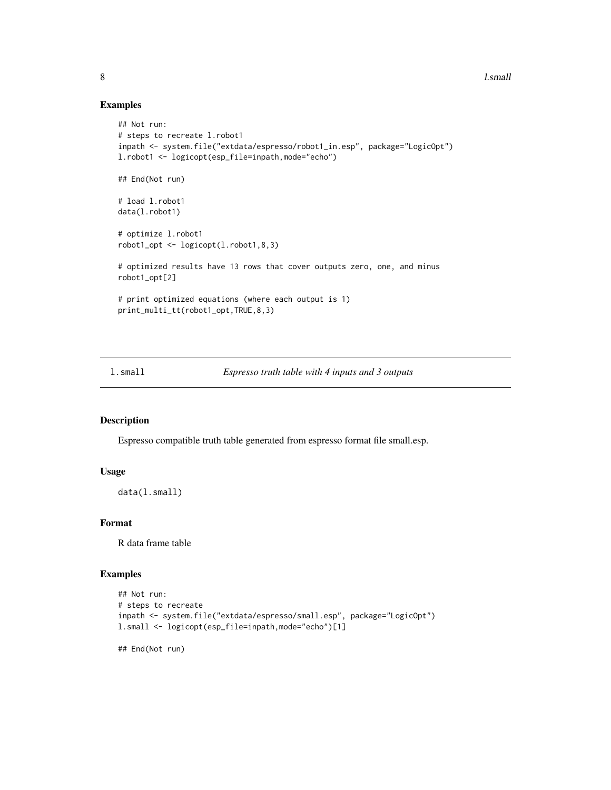8 l.small

# Examples

```
## Not run:
# steps to recreate l.robot1
inpath <- system.file("extdata/espresso/robot1_in.esp", package="LogicOpt")
l.robot1 <- logicopt(esp_file=inpath,mode="echo")
## End(Not run)
# load l.robot1
data(l.robot1)
# optimize l.robot1
robot1_opt <- logicopt(l.robot1,8,3)
# optimized results have 13 rows that cover outputs zero, one, and minus
robot1_opt[2]
# print optimized equations (where each output is 1)
print_multi_tt(robot1_opt,TRUE,8,3)
```
l.small *Espresso truth table with 4 inputs and 3 outputs*

### Description

Espresso compatible truth table generated from espresso format file small.esp.

# Usage

```
data(l.small)
```
# Format

R data frame table

#### Examples

```
## Not run:
# steps to recreate
inpath <- system.file("extdata/espresso/small.esp", package="LogicOpt")
l.small <- logicopt(esp_file=inpath,mode="echo")[1]
```
## End(Not run)

<span id="page-7-0"></span>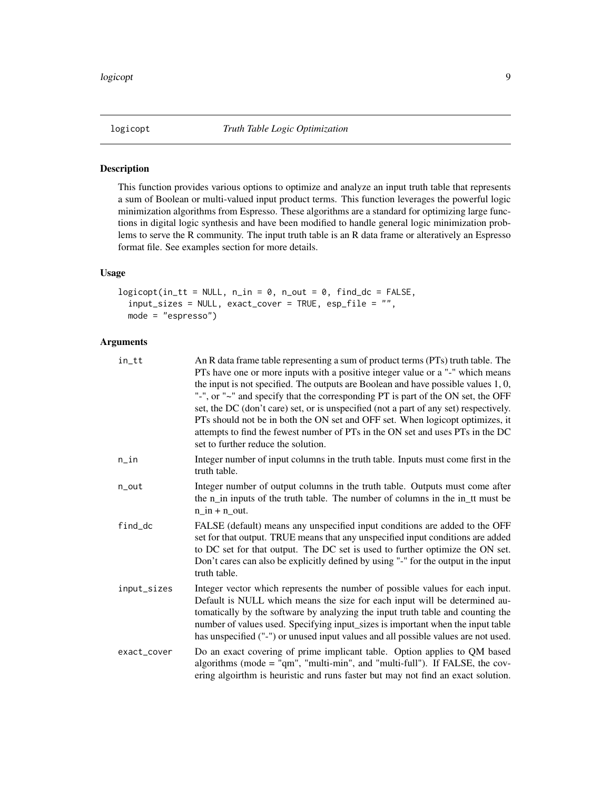<span id="page-8-1"></span><span id="page-8-0"></span>

#### Description

This function provides various options to optimize and analyze an input truth table that represents a sum of Boolean or multi-valued input product terms. This function leverages the powerful logic minimization algorithms from Espresso. These algorithms are a standard for optimizing large functions in digital logic synthesis and have been modified to handle general logic minimization problems to serve the R community. The input truth table is an R data frame or alteratively an Espresso format file. See examples section for more details.

# Usage

```
logicopt(in_t = NULL, n_in = 0, n.out = 0, find_d = FALSE,input\_sizes = NULL, exact_cover = TRUE, esp_file = "",
 mode = "espresso")
```
#### Arguments

| in_tt       | An R data frame table representing a sum of product terms (PTs) truth table. The<br>PTs have one or more inputs with a positive integer value or a "-" which means<br>the input is not specified. The outputs are Boolean and have possible values $1, 0$ ,<br>"-", or "~" and specify that the corresponding PT is part of the ON set, the OFF<br>set, the DC (don't care) set, or is unspecified (not a part of any set) respectively.<br>PTs should not be in both the ON set and OFF set. When logicopt optimizes, it<br>attempts to find the fewest number of PTs in the ON set and uses PTs in the DC<br>set to further reduce the solution. |
|-------------|----------------------------------------------------------------------------------------------------------------------------------------------------------------------------------------------------------------------------------------------------------------------------------------------------------------------------------------------------------------------------------------------------------------------------------------------------------------------------------------------------------------------------------------------------------------------------------------------------------------------------------------------------|
| n_in        | Integer number of input columns in the truth table. Inputs must come first in the<br>truth table.                                                                                                                                                                                                                                                                                                                                                                                                                                                                                                                                                  |
| n_out       | Integer number of output columns in the truth table. Outputs must come after<br>the n_in inputs of the truth table. The number of columns in the in_tt must be<br>$n$ in $+$ n out.                                                                                                                                                                                                                                                                                                                                                                                                                                                                |
| find_dc     | FALSE (default) means any unspecified input conditions are added to the OFF<br>set for that output. TRUE means that any unspecified input conditions are added<br>to DC set for that output. The DC set is used to further optimize the ON set.<br>Don't cares can also be explicitly defined by using "-" for the output in the input<br>truth table.                                                                                                                                                                                                                                                                                             |
| input_sizes | Integer vector which represents the number of possible values for each input.<br>Default is NULL which means the size for each input will be determined au-<br>tomatically by the software by analyzing the input truth table and counting the<br>number of values used. Specifying input_sizes is important when the input table<br>has unspecified ("-") or unused input values and all possible values are not used.                                                                                                                                                                                                                            |
| exact_cover | Do an exact covering of prime implicant table. Option applies to QM based<br>algorithms (mode = "qm", "multi-min", and "multi-full"). If FALSE, the cov-<br>ering algoirthm is heuristic and runs faster but may not find an exact solution.                                                                                                                                                                                                                                                                                                                                                                                                       |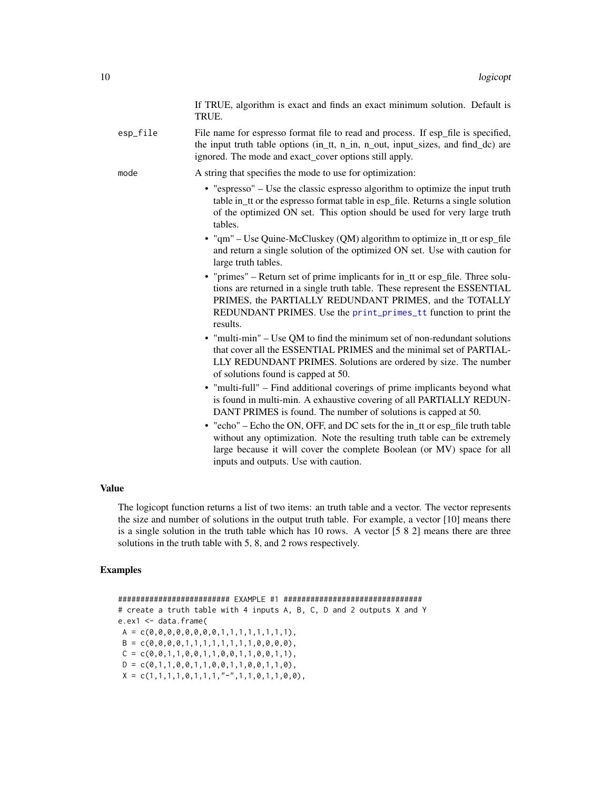If TRUE, algorithm is exact and finds an exact minimum solution. Default is TRUE.

<span id="page-9-0"></span>esp\_file File name for espresso format file to read and process. If esp file is specified, the input truth table options (in\_tt, n\_in, n\_out, input\_sizes, and find\_dc) are ignored. The mode and exact\_cover options still apply.

mode A string that specifies the mode to use for optimization:

- "espresso" Use the classic espresso algorithm to optimize the input truth table in\_tt or the espresso format table in esp\_file. Returns a single solution of the optimized ON set. This option should be used for very large truth tables.
- "qm" Use Quine-McCluskey (QM) algorithm to optimize in\_tt or esp\_file and return a single solution of the optimized ON set. Use with caution for large truth tables.
- "primes" Return set of prime implicants for in tt or esp file. Three solutions are returned in a single truth table. These represent the ESSENTIAL PRIMES, the PARTIALLY REDUNDANT PRIMES, and the TOTALLY REDUNDANT PRIMES. Use the [print\\_primes\\_tt](#page-13-2) function to print the results.
- "multi-min" Use QM to find the minimum set of non-redundant solutions that cover all the ESSENTIAL PRIMES and the minimal set of PARTIAL-LLY REDUNDANT PRIMES. Solutions are ordered by size. The number of solutions found is capped at 50.
- "multi-full" Find additional coverings of prime implicants beyond what is found in multi-min. A exhaustive covering of all PARTIALLY REDUN-DANT PRIMES is found. The number of solutions is capped at 50.
- "echo" Echo the ON, OFF, and DC sets for the in\_tt or esp\_file truth table without any optimization. Note the resulting truth table can be extremely large because it will cover the complete Boolean (or MV) space for all inputs and outputs. Use with caution.

# Value

The logicopt function returns a list of two items: an truth table and a vector. The vector represents the size and number of solutions in the output truth table. For example, a vector [10] means there is a single solution in the truth table which has 10 rows. A vector [5 8 2] means there are three solutions in the truth table with 5, 8, and 2 rows respectively.

#### Examples

######################### EXAMPLE #1 ############################### # create a truth table with 4 inputs A, B, C, D and 2 outputs X and Y e.ex1 <- data.frame(  $A = c(0, 0, 0, 0, 0, 0, 0, 0, 1, 1, 1, 1, 1, 1, 1, 1),$  $B = c(0, 0, 0, 0, 1, 1, 1, 1, 1, 1, 1, 1, 0, 0, 0, 0),$  $C = c(0, 0, 1, 1, 0, 0, 1, 1, 0, 0, 1, 1, 0, 0, 1, 1),$  $D = c(0, 1, 1, 0, 0, 1, 1, 0, 0, 1, 1, 0, 0, 1, 1, 0)$ ,  $X = c(1,1,1,1,0,1,1,1,''-",1,1,0,1,1,0,0)$ ,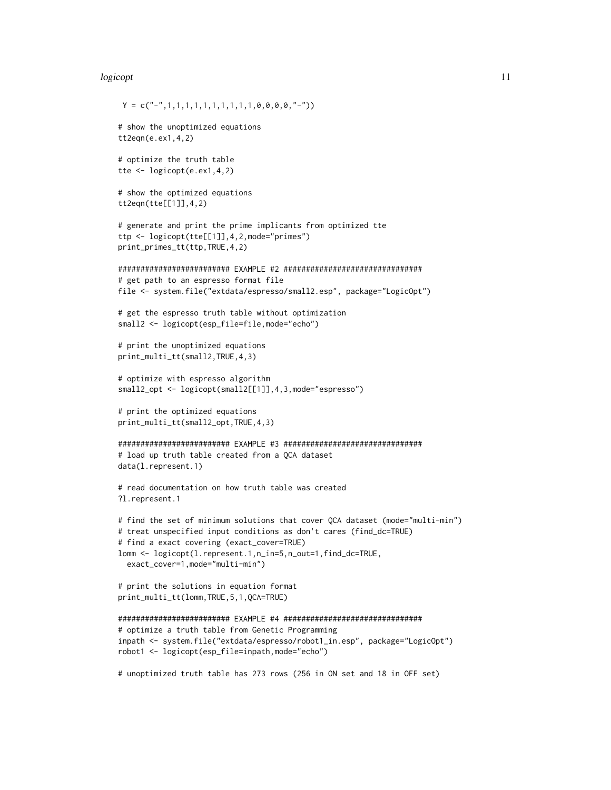#### logicopt to the contract of the contract of the contract of the contract of the contract of the contract of the contract of the contract of the contract of the contract of the contract of the contract of the contract of th

 $Y = c("--", 1, 1, 1, 1, 1, 1, 1, 1, 1, 1, 1, 0, 0, 0, 0, "--")$ 

```
# show the unoptimized equations
tt2eqn(e.ex1,4,2)
# optimize the truth table
tte <- logicopt(e.ex1,4,2)
# show the optimized equations
tt2eqn(tte[[1]],4,2)
# generate and print the prime implicants from optimized tte
ttp <- logicopt(tte[[1]],4,2,mode="primes")
print_primes_tt(ttp,TRUE,4,2)
######################### EXAMPLE #2 ###############################
# get path to an espresso format file
file <- system.file("extdata/espresso/small2.esp", package="LogicOpt")
# get the espresso truth table without optimization
small2 <- logicopt(esp_file=file,mode="echo")
# print the unoptimized equations
print_multi_tt(small2,TRUE,4,3)
# optimize with espresso algorithm
small2_opt <- logicopt(small2[[1]], 4, 3, mode="espresso")
# print the optimized equations
print_multi_tt(small2_opt,TRUE,4,3)
######################### EXAMPLE #3 ###############################
# load up truth table created from a QCA dataset
data(l.represent.1)
# read documentation on how truth table was created
?l.represent.1
# find the set of minimum solutions that cover QCA dataset (mode="multi-min")
# treat unspecified input conditions as don't cares (find_dc=TRUE)
# find a exact covering (exact_cover=TRUE)
lomm <- logicopt(l.represent.1,n_in=5,n_out=1,find_dc=TRUE,
 exact_cover=1,mode="multi-min")
# print the solutions in equation format
print_multi_tt(lomm,TRUE,5,1,QCA=TRUE)
######################### EXAMPLE #4 ###############################
# optimize a truth table from Genetic Programming
inpath <- system.file("extdata/espresso/robot1_in.esp", package="LogicOpt")
robot1 <- logicopt(esp_file=inpath,mode="echo")
# unoptimized truth table has 273 rows (256 in ON set and 18 in OFF set)
```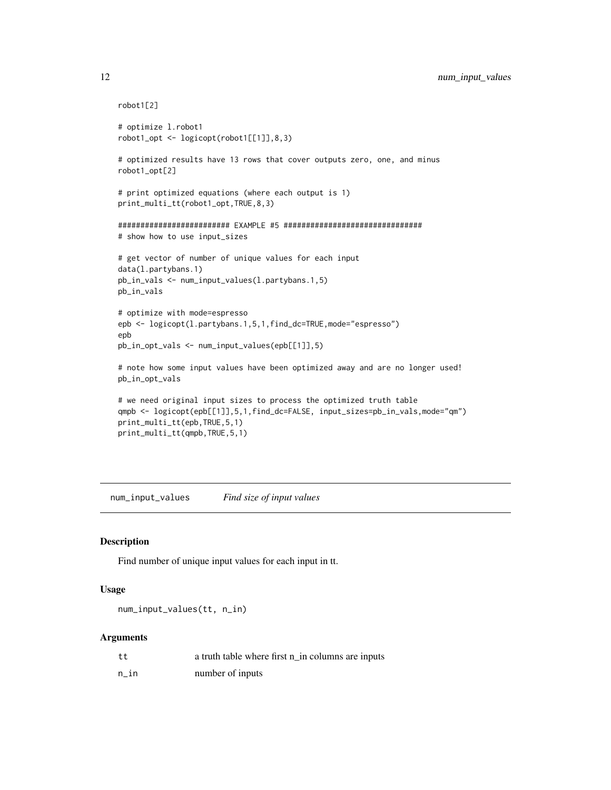```
robot1[2]
# optimize l.robot1
robot1_opt <- logicopt(robot1[[1]],8,3)
# optimized results have 13 rows that cover outputs zero, one, and minus
robot1_opt[2]
# print optimized equations (where each output is 1)
print_multi_tt(robot1_opt,TRUE,8,3)
######################### EXAMPLE #5 ###############################
# show how to use input_sizes
# get vector of number of unique values for each input
data(l.partybans.1)
pb_in_vals <- num_input_values(l.partybans.1,5)
pb_in_vals
# optimize with mode=espresso
epb <- logicopt(l.partybans.1,5,1,find_dc=TRUE,mode="espresso")
epb
pb_in_opt_vals <- num_input_values(epb[[1]],5)
# note how some input values have been optimized away and are no longer used!
pb_in_opt_vals
# we need original input sizes to process the optimized truth table
qmpb <- logicopt(epb[[1]],5,1,find_dc=FALSE, input_sizes=pb_in_vals,mode="qm")
print_multi_tt(epb,TRUE,5,1)
print_multi_tt(qmpb,TRUE,5,1)
```
num\_input\_values *Find size of input values*

#### Description

Find number of unique input values for each input in tt.

#### Usage

```
num_input_values(tt, n_in)
```
#### Arguments

| tt   | a truth table where first n_in columns are inputs |  |
|------|---------------------------------------------------|--|
| n in | number of inputs                                  |  |

<span id="page-11-0"></span>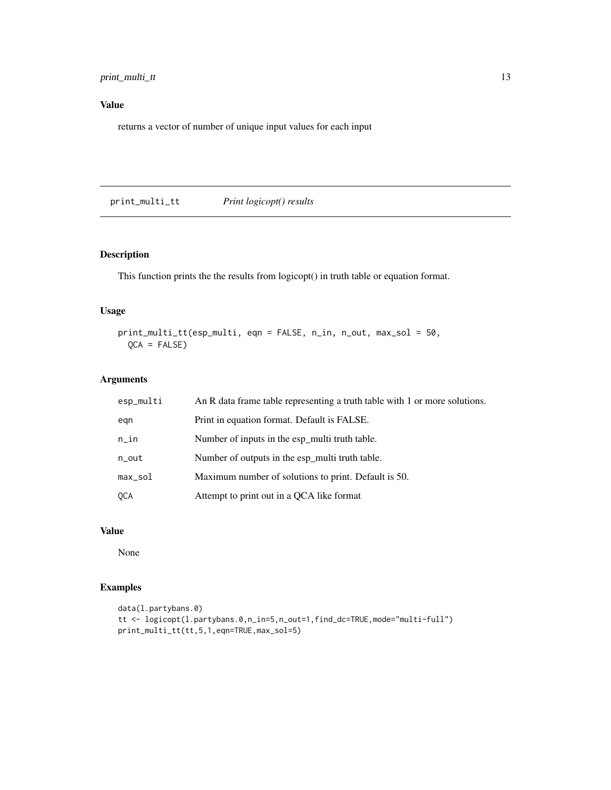# <span id="page-12-0"></span>print\_multi\_tt 13

# Value

returns a vector of number of unique input values for each input

print\_multi\_tt *Print logicopt() results*

# Description

This function prints the the results from logicopt() in truth table or equation format.

#### Usage

print\_multi\_tt(esp\_multi, eqn = FALSE, n\_in, n\_out, max\_sol = 50, QCA = FALSE)

# Arguments

| esp_multi  | An R data frame table representing a truth table with 1 or more solutions. |
|------------|----------------------------------------------------------------------------|
| egn        | Print in equation format. Default is FALSE.                                |
| $n$ _in    | Number of inputs in the esp_multi truth table.                             |
| n_out      | Number of outputs in the esp_multi truth table.                            |
| $max\_sol$ | Maximum number of solutions to print. Default is 50.                       |
| QCA        | Attempt to print out in a OCA like format                                  |

# Value

None

# Examples

```
data(l.partybans.0)
tt <- logicopt(l.partybans.0,n_in=5,n_out=1,find_dc=TRUE,mode="multi-full")
print_multi_tt(tt,5,1,eqn=TRUE,max_sol=5)
```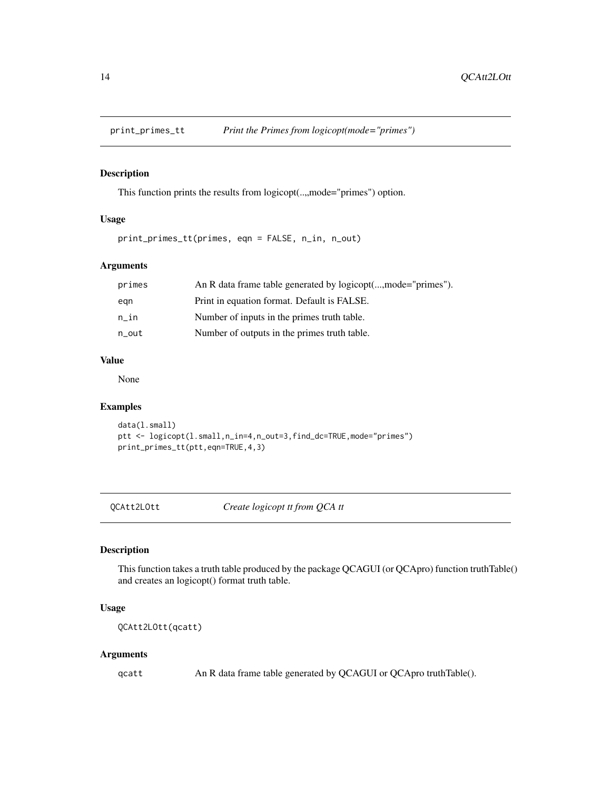<span id="page-13-2"></span><span id="page-13-0"></span>

#### Description

This function prints the results from logicopt(...,mode="primes") option.

# Usage

print\_primes\_tt(primes, eqn = FALSE, n\_in, n\_out)

#### Arguments

| primes | An R data frame table generated by logicopt(,mode="primes"). |
|--------|--------------------------------------------------------------|
| egn    | Print in equation format. Default is FALSE.                  |
| n in   | Number of inputs in the primes truth table.                  |
| n_out  | Number of outputs in the primes truth table.                 |

#### Value

None

# Examples

```
data(l.small)
ptt <- logicopt(l.small,n_in=4,n_out=3,find_dc=TRUE,mode="primes")
print_primes_tt(ptt,eqn=TRUE,4,3)
```
<span id="page-13-1"></span>QCAtt2LOtt *Create logicopt tt from QCA tt*

# Description

This function takes a truth table produced by the package QCAGUI (or QCApro) function truthTable() and creates an logicopt() format truth table.

# Usage

QCAtt2LOtt(qcatt)

### Arguments

qcatt An R data frame table generated by QCAGUI or QCApro truthTable().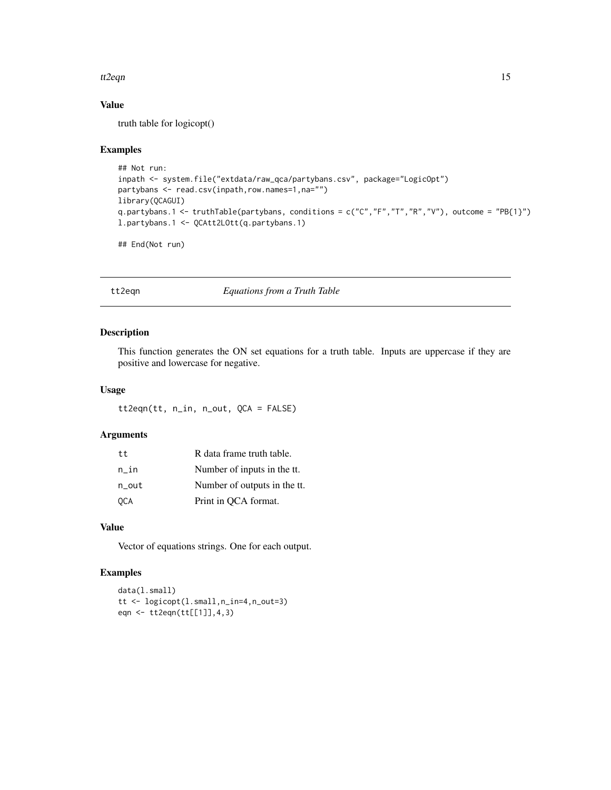#### <span id="page-14-0"></span>tt2eqn 15

# Value

truth table for logicopt()

#### Examples

```
## Not run:
inpath <- system.file("extdata/raw_qca/partybans.csv", package="LogicOpt")
partybans <- read.csv(inpath,row.names=1,na="")
library(QCAGUI)
q.partybans.1 <- truthTable(partybans, conditions = c("C","F","T","R","V"), outcome = "PB{1}")
l.partybans.1 <- QCAtt2LOtt(q.partybans.1)
```

```
## End(Not run)
```
tt2eqn *Equations from a Truth Table*

# Description

This function generates the ON set equations for a truth table. Inputs are uppercase if they are positive and lowercase for negative.

# Usage

tt2eqn(tt, n\_in, n\_out, QCA = FALSE)

# Arguments

| t t   | R data frame truth table.    |
|-------|------------------------------|
| n in  | Number of inputs in the tt.  |
| n out | Number of outputs in the tt. |
| OCA   | Print in QCA format.         |

# Value

Vector of equations strings. One for each output.

# Examples

```
data(l.small)
tt <- logicopt(l.small,n_in=4,n_out=3)
eqn <- tt2eqn(tt[[1]],4,3)
```